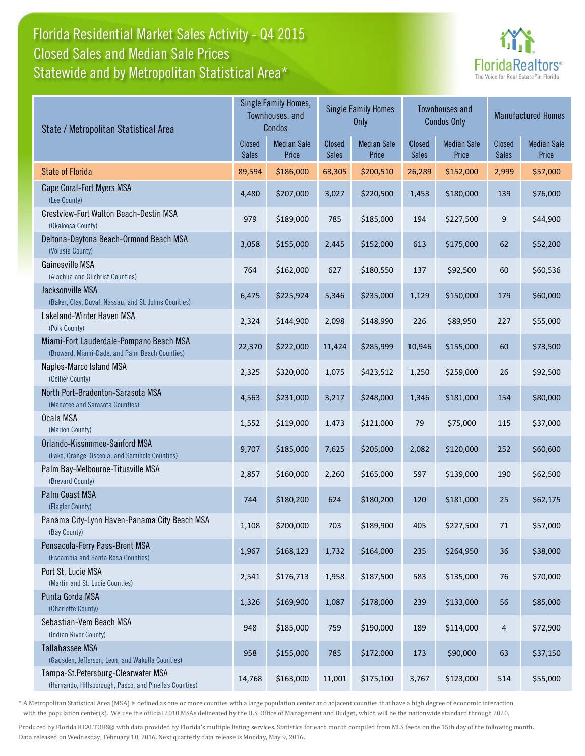## Florida Residential Market Sales Activity - Q4 2015 Statewide and by Metropolitan Statistical Area\* Closed Sales and Median Sale Prices



| State / Metropolitan Statistical Area                                                        | Single Family Homes,<br>Townhouses, and<br>Condos |                             | <b>Single Family Homes</b><br>Only |                             | <b>Townhouses and</b><br><b>Condos Only</b> |                             | <b>Manufactured Homes</b> |                             |
|----------------------------------------------------------------------------------------------|---------------------------------------------------|-----------------------------|------------------------------------|-----------------------------|---------------------------------------------|-----------------------------|---------------------------|-----------------------------|
|                                                                                              | <b>Closed</b><br><b>Sales</b>                     | <b>Median Sale</b><br>Price | Closed<br><b>Sales</b>             | <b>Median Sale</b><br>Price | Closed<br>Sales                             | <b>Median Sale</b><br>Price | Closed<br><b>Sales</b>    | <b>Median Sale</b><br>Price |
| <b>State of Florida</b>                                                                      | 89,594                                            | \$186,000                   | 63,305                             | \$200,510                   | 26,289                                      | \$152,000                   | 2,999                     | \$57,000                    |
| Cape Coral-Fort Myers MSA<br>(Lee County)                                                    | 4,480                                             | \$207,000                   | 3,027                              | \$220,500                   | 1,453                                       | \$180,000                   | 139                       | \$76,000                    |
| Crestview-Fort Walton Beach-Destin MSA<br>(Okaloosa County)                                  | 979                                               | \$189,000                   | 785                                | \$185,000                   | 194                                         | \$227,500                   | 9                         | \$44,900                    |
| Deltona-Daytona Beach-Ormond Beach MSA<br>(Volusia County)                                   | 3,058                                             | \$155,000                   | 2,445                              | \$152,000                   | 613                                         | \$175,000                   | 62                        | \$52,200                    |
| Gainesville MSA<br>(Alachua and Gilchrist Counties)                                          | 764                                               | \$162,000                   | 627                                | \$180,550                   | 137                                         | \$92,500                    | 60                        | \$60,536                    |
| Jacksonville MSA<br>(Baker, Clay, Duval, Nassau, and St. Johns Counties)                     | 6,475                                             | \$225,924                   | 5,346                              | \$235,000                   | 1,129                                       | \$150,000                   | 179                       | \$60,000                    |
| Lakeland-Winter Haven MSA<br>(Polk County)                                                   | 2,324                                             | \$144,900                   | 2,098                              | \$148,990                   | 226                                         | \$89,950                    | 227                       | \$55,000                    |
| Miami-Fort Lauderdale-Pompano Beach MSA<br>(Broward, Miami-Dade, and Palm Beach Counties)    | 22,370                                            | \$222,000                   | 11,424                             | \$285,999                   | 10,946                                      | \$155,000                   | 60                        | \$73,500                    |
| Naples-Marco Island MSA<br>(Collier County)                                                  | 2,325                                             | \$320,000                   | 1,075                              | \$423,512                   | 1,250                                       | \$259,000                   | 26                        | \$92,500                    |
| North Port-Bradenton-Sarasota MSA<br>(Manatee and Sarasota Counties)                         | 4,563                                             | \$231,000                   | 3,217                              | \$248,000                   | 1,346                                       | \$181,000                   | 154                       | \$80,000                    |
| Ocala MSA<br>(Marion County)                                                                 | 1,552                                             | \$119,000                   | 1,473                              | \$121,000                   | 79                                          | \$75,000                    | 115                       | \$37,000                    |
| Orlando-Kissimmee-Sanford MSA<br>(Lake, Orange, Osceola, and Seminole Counties)              | 9,707                                             | \$185,000                   | 7,625                              | \$205,000                   | 2,082                                       | \$120,000                   | 252                       | \$60,600                    |
| Palm Bay-Melbourne-Titusville MSA<br>(Brevard County)                                        | 2,857                                             | \$160,000                   | 2,260                              | \$165,000                   | 597                                         | \$139,000                   | 190                       | \$62,500                    |
| Palm Coast MSA<br>(Flagler County)                                                           | 744                                               | \$180,200                   | 624                                | \$180,200                   | 120                                         | \$181,000                   | 25                        | \$62,175                    |
| Panama City-Lynn Haven-Panama City Beach MSA<br>(Bay County)                                 | 1,108                                             | \$200,000                   | 703                                | \$189,900                   | 405                                         | \$227,500                   | 71                        | \$57,000                    |
| Pensacola-Ferry Pass-Brent MSA<br>(Escambia and Santa Rosa Counties)                         | 1,967                                             | \$168,123                   | 1,732                              | \$164,000                   | 235                                         | \$264,950                   | 36                        | \$38,000                    |
| Port St. Lucie MSA<br>(Martin and St. Lucie Counties)                                        | 2,541                                             | \$176,713                   | 1,958                              | \$187,500                   | 583                                         | \$135,000                   | $76\,$                    | \$70,000                    |
| Punta Gorda MSA<br>(Charlotte County)                                                        | 1,326                                             | \$169,900                   | 1,087                              | \$178,000                   | 239                                         | \$133,000                   | 56                        | \$85,000                    |
| Sebastian-Vero Beach MSA<br>(Indian River County)                                            | 948                                               | \$185,000                   | 759                                | \$190,000                   | 189                                         | \$114,000                   | 4                         | \$72,900                    |
| <b>Tallahassee MSA</b><br>(Gadsden, Jefferson, Leon, and Wakulla Counties)                   | 958                                               | \$155,000                   | 785                                | \$172,000                   | 173                                         | \$90,000                    | 63                        | \$37,150                    |
| Tampa-St.Petersburg-Clearwater MSA<br>(Hernando, Hillsborough, Pasco, and Pinellas Counties) | 14,768                                            | \$163,000                   | 11,001                             | \$175,100                   | 3,767                                       | \$123,000                   | 514                       | \$55,000                    |

\* A Metropolitan Statistical Area (MSA) is defined as one or more counties with a large population center and adjacent counties that have a high degree of economic interaction with the population center(s). We use the official 2010 MSAs delineated by the U.S. Office of Management and Budget, which will be the nationwide standard through 2020.

Produced by Florida REALTORS® with data provided by Florida's multiple listing services. Statistics for each month compiled from MLS feeds on the 15th day of the following month. Data released on Wednesday, February 10, 2016. Next quarterly data release is Monday, May 9, 2016.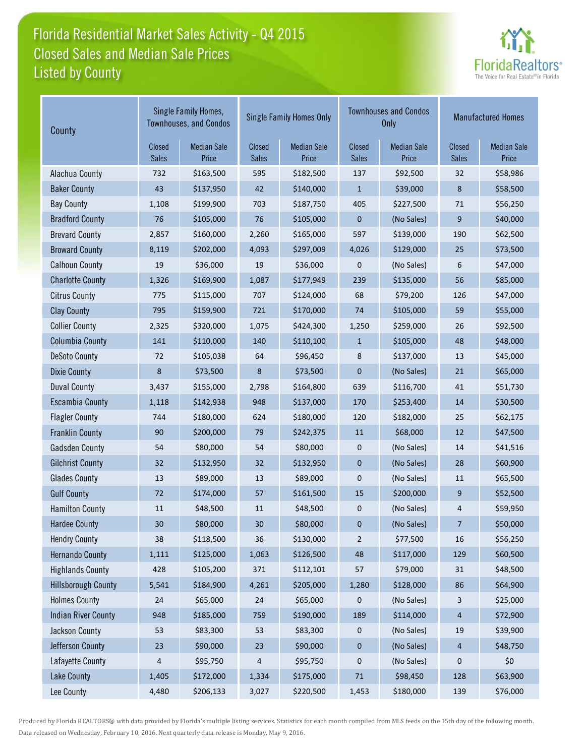## Florida Residential Market Sales Activity - Q4 2015 Listed by County Closed Sales and Median Sale Prices



| County                     | Single Family Homes,<br><b>Townhouses, and Condos</b> |                             |                        | <b>Single Family Homes Only</b> |                        | <b>Townhouses and Condos</b><br><b>Only</b> | <b>Manufactured Homes</b> |                             |
|----------------------------|-------------------------------------------------------|-----------------------------|------------------------|---------------------------------|------------------------|---------------------------------------------|---------------------------|-----------------------------|
|                            | Closed<br>Sales                                       | <b>Median Sale</b><br>Price | Closed<br><b>Sales</b> | <b>Median Sale</b><br>Price     | Closed<br><b>Sales</b> | <b>Median Sale</b><br>Price                 | Closed<br><b>Sales</b>    | <b>Median Sale</b><br>Price |
| Alachua County             | 732                                                   | \$163,500                   | 595                    | \$182,500                       | 137                    | \$92,500                                    | 32                        | \$58,986                    |
| <b>Baker County</b>        | 43                                                    | \$137,950                   | 42                     | \$140,000                       | $\mathbf{1}$           | \$39,000                                    | 8                         | \$58,500                    |
| <b>Bay County</b>          | 1,108                                                 | \$199,900                   | 703                    | \$187,750                       | 405                    | \$227,500                                   | 71                        | \$56,250                    |
| <b>Bradford County</b>     | 76                                                    | \$105,000                   | 76                     | \$105,000                       | 0                      | (No Sales)                                  | 9                         | \$40,000                    |
| <b>Brevard County</b>      | 2,857                                                 | \$160,000                   | 2,260                  | \$165,000                       | 597                    | \$139,000                                   | 190                       | \$62,500                    |
| <b>Broward County</b>      | 8,119                                                 | \$202,000                   | 4,093                  | \$297,009                       | 4,026                  | \$129,000                                   | 25                        | \$73,500                    |
| <b>Calhoun County</b>      | 19                                                    | \$36,000                    | 19                     | \$36,000                        | 0                      | (No Sales)                                  | 6                         | \$47,000                    |
| <b>Charlotte County</b>    | 1,326                                                 | \$169,900                   | 1,087                  | \$177,949                       | 239                    | \$135,000                                   | 56                        | \$85,000                    |
| <b>Citrus County</b>       | 775                                                   | \$115,000                   | 707                    | \$124,000                       | 68                     | \$79,200                                    | 126                       | \$47,000                    |
| <b>Clay County</b>         | 795                                                   | \$159,900                   | 721                    | \$170,000                       | 74                     | \$105,000                                   | 59                        | \$55,000                    |
| <b>Collier County</b>      | 2,325                                                 | \$320,000                   | 1,075                  | \$424,300                       | 1,250                  | \$259,000                                   | 26                        | \$92,500                    |
| <b>Columbia County</b>     | 141                                                   | \$110,000                   | 140                    | \$110,100                       | $\mathbf{1}$           | \$105,000                                   | 48                        | \$48,000                    |
| <b>DeSoto County</b>       | 72                                                    | \$105,038                   | 64                     | \$96,450                        | 8                      | \$137,000                                   | 13                        | \$45,000                    |
| <b>Dixie County</b>        | 8                                                     | \$73,500                    | 8                      | \$73,500                        | $\mathbf 0$            | (No Sales)                                  | 21                        | \$65,000                    |
| <b>Duval County</b>        | 3,437                                                 | \$155,000                   | 2,798                  | \$164,800                       | 639                    | \$116,700                                   | 41                        | \$51,730                    |
| <b>Escambia County</b>     | 1,118                                                 | \$142,938                   | 948                    | \$137,000                       | 170                    | \$253,400                                   | 14                        | \$30,500                    |
| <b>Flagler County</b>      | 744                                                   | \$180,000                   | 624                    | \$180,000                       | 120                    | \$182,000                                   | 25                        | \$62,175                    |
| <b>Franklin County</b>     | 90                                                    | \$200,000                   | 79                     | \$242,375                       | 11                     | \$68,000                                    | 12                        | \$47,500                    |
| <b>Gadsden County</b>      | 54                                                    | \$80,000                    | 54                     | \$80,000                        | 0                      | (No Sales)                                  | 14                        | \$41,516                    |
| <b>Gilchrist County</b>    | 32                                                    | \$132,950                   | 32                     | \$132,950                       | $\pmb{0}$              | (No Sales)                                  | 28                        | \$60,900                    |
| <b>Glades County</b>       | 13                                                    | \$89,000                    | 13                     | \$89,000                        | 0                      | (No Sales)                                  | 11                        | \$65,500                    |
| <b>Gulf County</b>         | 72                                                    | \$174,000                   | 57                     | \$161,500                       | 15                     | \$200,000                                   | 9                         | \$52,500                    |
| <b>Hamilton County</b>     | $11\,$                                                | \$48,500                    | 11                     | \$48,500                        | 0                      | (No Sales)                                  | 4                         | \$59,950                    |
| <b>Hardee County</b>       | 30                                                    | \$80,000                    | 30                     | \$80,000                        | 0                      | (No Sales)                                  | 7                         | \$50,000                    |
| <b>Hendry County</b>       | 38                                                    | \$118,500                   | 36                     | \$130,000                       | $\overline{2}$         | \$77,500                                    | 16                        | \$56,250                    |
| <b>Hernando County</b>     | 1,111                                                 | \$125,000                   | 1,063                  | \$126,500                       | 48                     | \$117,000                                   | 129                       | \$60,500                    |
| <b>Highlands County</b>    | 428                                                   | \$105,200                   | 371                    | \$112,101                       | 57                     | \$79,000                                    | 31                        | \$48,500                    |
| <b>Hillsborough County</b> | 5,541                                                 | \$184,900                   | 4,261                  | \$205,000                       | 1,280                  | \$128,000                                   | 86                        | \$64,900                    |
| <b>Holmes County</b>       | 24                                                    | \$65,000                    | 24                     | \$65,000                        | 0                      | (No Sales)                                  | 3                         | \$25,000                    |
| <b>Indian River County</b> | 948                                                   | \$185,000                   | 759                    | \$190,000                       | 189                    | \$114,000                                   | 4                         | \$72,900                    |
| Jackson County             | 53                                                    | \$83,300                    | 53                     | \$83,300                        | 0                      | (No Sales)                                  | 19                        | \$39,900                    |
| Jefferson County           | 23                                                    | \$90,000                    | 23                     | \$90,000                        | 0                      | (No Sales)                                  | 4                         | \$48,750                    |
| Lafayette County           | 4                                                     | \$95,750                    | 4                      | \$95,750                        | 0                      | (No Sales)                                  | 0                         | \$0                         |
| Lake County                | 1,405                                                 | \$172,000                   | 1,334                  | \$175,000                       | $71\,$                 | \$98,450                                    | 128                       | \$63,900                    |
| Lee County                 | 4,480                                                 | \$206,133                   | 3,027                  | \$220,500                       | 1,453                  | \$180,000                                   | 139                       | \$76,000                    |

Produced by Florida REALTORS® with data provided by Florida's multiple listing services. Statistics for each month compiled from MLS feeds on the 15th day of the following month. Data released on Wednesday, February 10, 2016. Next quarterly data release is Monday, May 9, 2016.